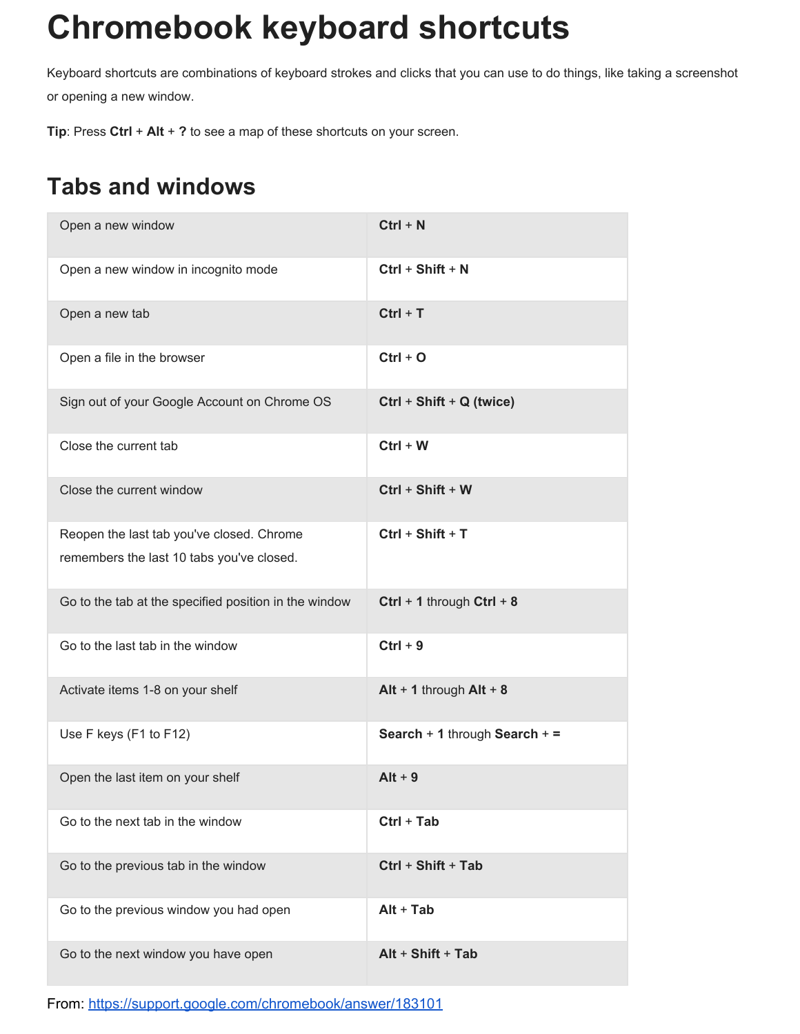## **Chromebook keyboard shortcuts**

Keyboard shortcuts are combinations of keyboard strokes and clicks that you can use to do things, like taking a screenshot or opening a new window.

**Tip**: Press **Ctrl**+ **Alt**+ **?**to see a map of these shortcuts on your screen.

## **Tabs and windows**

| Open a new window                                                                      | $Ctrl + N$                           |
|----------------------------------------------------------------------------------------|--------------------------------------|
| Open a new window in incognito mode                                                    | $Ctrl + Shift + N$                   |
| Open a new tab                                                                         | $Ctrl + T$                           |
| Open a file in the browser                                                             | $Ctrl + O$                           |
| Sign out of your Google Account on Chrome OS                                           | $Ctrl + Shift + Q (twice)$           |
| Close the current tab                                                                  | $Ctrl + W$                           |
| Close the current window                                                               | $Ctrl + Shift + W$                   |
| Reopen the last tab you've closed. Chrome<br>remembers the last 10 tabs you've closed. | $Ctrl + Shift + T$                   |
| Go to the tab at the specified position in the window                                  | Ctrl + 1 through Ctrl + 8            |
| Go to the last tab in the window                                                       | $Ctrl + 9$                           |
| Activate items 1-8 on your shelf                                                       | Alt + 1 through $Alt + 8$            |
| Use F keys (F1 to F12)                                                                 | <b>Search + 1 through Search + =</b> |
| Open the last item on your shelf                                                       | $Alt + 9$                            |
| Go to the next tab in the window                                                       | $Ctrl + Tab$                         |
| Go to the previous tab in the window                                                   | Ctrl + Shift + Tab                   |
| Go to the previous window you had open                                                 | $Alt + Tab$                          |
| Go to the next window you have open                                                    | Alt + Shift + Tab                    |

From: <https://support.google.com/chromebook/answer/183101>